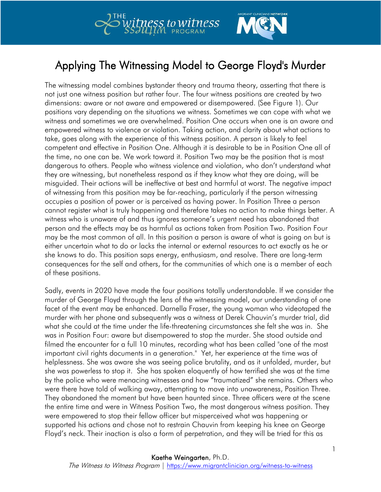



## Applying The Witnessing Model to George Floyd's Murder

The witnessing model combines bystander theory and trauma theory, asserting that there is not just one witness position but rather four. The four witness positions are created by two dimensions: aware or not aware and empowered or disempowered. (See Figure 1). Our positions vary depending on the situations we witness. Sometimes we can cope with what we witness and sometimes we are overwhelmed. Position One occurs when one is an aware and empowered witness to violence or violation. Taking action, and clarity about what actions to take, goes along with the experience of this witness position. A person is likely to feel competent and effective in Position One. Although it is desirable to be in Position One all of the time, no one can be. We work toward it. Position Two may be the position that is most dangerous to others. People who witness violence and violation, who don't understand what they are witnessing, but nonetheless respond as if they know what they are doing, will be misguided. Their actions will be ineffective at best and harmful at worst. The negative impact of witnessing from this position may be far-reaching, particularly if the person witnessing occupies a position of power or is perceived as having power. In Position Three a person cannot register what is truly happening and therefore takes no action to make things better. A witness who is unaware of and thus ignores someone's urgent need has abandoned that person and the effects may be as harmful as actions taken from Position Two. Position Four may be the most common of all. In this position a person is aware of what is going on but is either uncertain what to do or lacks the internal or external resources to act exactly as he or she knows to do. This position saps energy, enthusiasm, and resolve. There are long-term consequences for the self and others, for the communities of which one is a member of each of these positions.

Sadly, events in 2020 have made the four positions totally understandable. If we consider the murder of George Floyd through the lens of the witnessing model, our understanding of one facet of the event may be enhanced. Darnella Fraser, the young woman who videotaped the murder with her phone and subsequently was a witness at Derek Chauvin's murder trial, did what she could at the time under the life-threatening circumstances she felt she was in. She was in Position Four: aware but disempowered to stop the murder. She stood outside and filmed the encounter for a full 10 minutes, recording what has been called "one of the most important civil rights documents in a generation." Yet, her experience at the time was of helplessness. She was aware she was seeing police brutality, and as it unfolded, murder, but she was powerless to stop it. She has spoken eloquently of how terrified she was at the time by the police who were menacing witnesses and how "traumatized" she remains. Others who were there have told of walking away, attempting to move into unawareness, Position Three. They abandoned the moment but have been haunted since. Three officers were at the scene the entire time and were in Witness Position Two, the most dangerous witness position. They were empowered to stop their fellow officer but misperceived what was happening or supported his actions and chose not to restrain Chauvin from keeping his knee on George Floyd's neck. Their inaction is also a form of perpetration, and they will be tried for this as